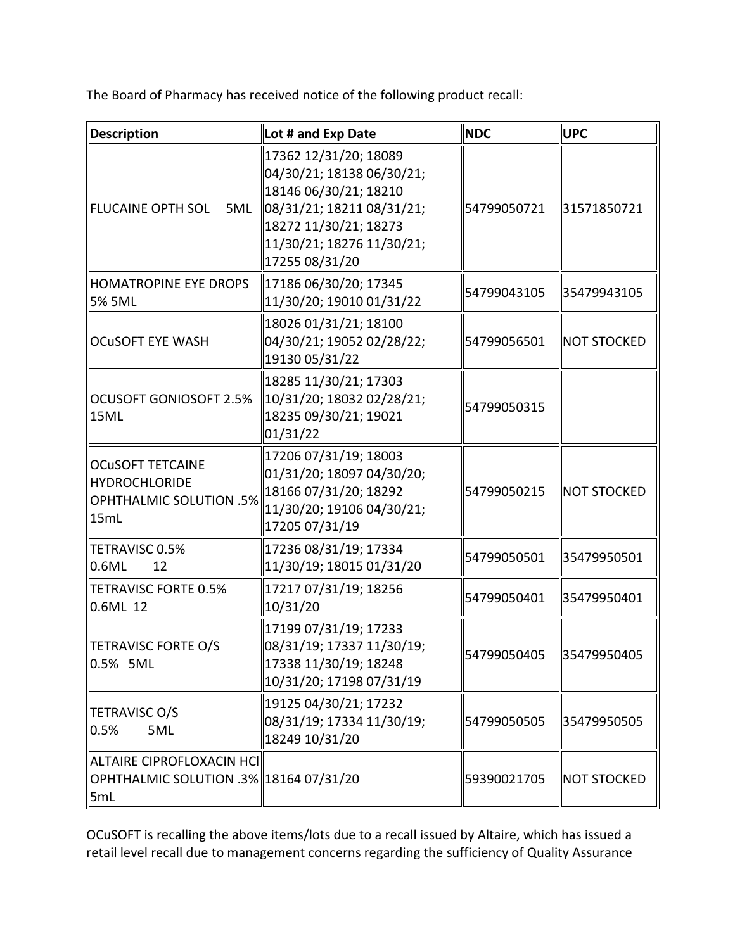The Board of Pharmacy has received notice of the following product recall:

| Description                                                                        | Lot # and Exp Date                                                                                                                                                               | <b>NDC</b>  | <b>UPC</b>          |
|------------------------------------------------------------------------------------|----------------------------------------------------------------------------------------------------------------------------------------------------------------------------------|-------------|---------------------|
| <b>FLUCAINE OPTH SOL</b><br>5ML                                                    | 17362 12/31/20; 18089<br>04/30/21; 18138 06/30/21;<br>18146 06/30/21; 18210<br>08/31/21; 18211 08/31/21;<br>18272 11/30/21; 18273<br>11/30/21; 18276 11/30/21;<br>17255 08/31/20 | 54799050721 | 31571850721         |
| HOMATROPINE EYE DROPS<br>5% 5ML                                                    | 17186 06/30/20; 17345<br>11/30/20; 19010 01/31/22                                                                                                                                | 54799043105 | 35479943105         |
| <b>OCUSOFT EYE WASH</b>                                                            | 18026 01/31/21; 18100<br>04/30/21; 19052 02/28/22;<br>19130 05/31/22                                                                                                             | 54799056501 | <b>NOT STOCKED</b>  |
| OCUSOFT GONIOSOFT 2.5%<br>15ML                                                     | 18285 11/30/21; 17303<br>10/31/20; 18032 02/28/21;<br>18235 09/30/21; 19021<br>01/31/22                                                                                          | 54799050315 |                     |
| <b>OCUSOFT TETCAINE</b><br>HYDROCHLORIDE<br><b>OPHTHALMIC SOLUTION .5%</b><br>15mL | 17206 07/31/19; 18003<br>01/31/20; 18097 04/30/20;<br>18166 07/31/20; 18292<br>11/30/20; 19106 04/30/21;<br>17205 07/31/19                                                       | 54799050215 | <b>INOT STOCKED</b> |
| TETRAVISC 0.5%<br>$\parallel$ 0.6ML<br>12                                          | 17236 08/31/19; 17334<br>11/30/19; 18015 01/31/20                                                                                                                                | 54799050501 | 35479950501         |
| TETRAVISC FORTE 0.5%<br>0.6ML 12                                                   | 17217 07/31/19; 18256<br>10/31/20                                                                                                                                                | 54799050401 | 35479950401         |
| TETRAVISC FORTE O/S<br>0.5% 5ML                                                    | 17199 07/31/19; 17233<br>08/31/19; 17337 11/30/19;<br>17338 11/30/19; 18248<br>10/31/20; 17198 07/31/19                                                                          | 54799050405 | 35479950405         |
| TETRAVISC O/S<br>$ 0.5\%$<br>5ML                                                   | 19125 04/30/21; 17232<br>08/31/19; 17334 11/30/19;<br>18249 10/31/20                                                                                                             | 54799050505 | 35479950505         |
| ∥ALTAIRE CIPROFLOXACIN HCI│<br>  OPHTHALMIC SOLUTION .3%  18164 07/31/20<br>5mL    |                                                                                                                                                                                  | 59390021705 | NOT STOCKED         |

 OCuSOFT is recalling the above items/lots due to a recall issued by Altaire, which has issued a retail level recall due to management concerns regarding the sufficiency of Quality Assurance